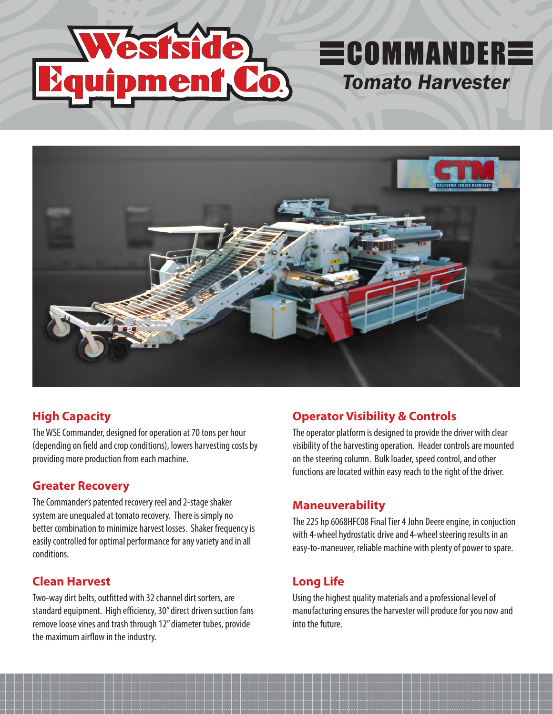

### **High Capacity**

The WSE Commander, designed for operation at 70 tons per hour (depending on field and crop conditions), lowers harvesting costs by providing more production from each machine.

### **Greater Recovery**

The Commander's patented recovery reel and 2-stage shaker system are unequaled at tomato recovery. There is simply no better combination to minimize harvest losses. Shaker frequency is easily controlled for optimal performance for any variety and in all conditions.

### **Clean Harvest**

Two-way dirt belts, outfitted with 32 channel dirt sorters, are standard equipment. High efficiency, 30" direct driven suction fans remove loose vines and trash through 12" diameter tubes, provide the maximum airflow in the industry.

### **Operator Visibility & Controls**

The operator platform is designed to provide the driver with clear visibility of the harvesting operation. Header controls are mounted on the steering column. Bulk loader, speed control, and other functions are located within easy reach to the right of the driver.

*Tomato Harvester*

**ECOMMANDERE** 

### **Maneuverability**

The 225 hp 6068HFC08 Final Tier 4 John Deere engine, in conjuction with 4-wheel hydrostatic drive and 4-wheel steering results in an easy-to-maneuver, reliable machine with plenty of power to spare.

## **Long Life**

Using the highest quality materials and a professional level of manufacturing ensures the harvester will produce for you now and into the future.